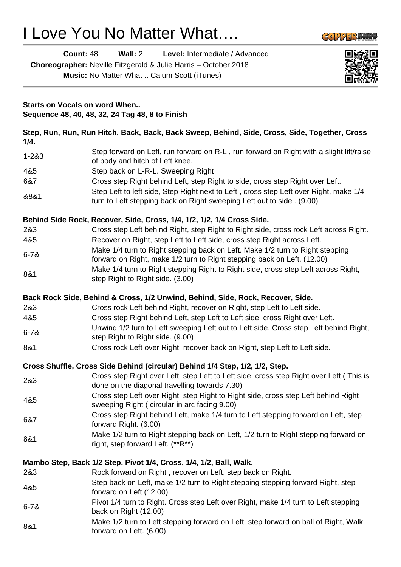# I Love You No Matter What….

forward on Left. (6.00)

**Count:** 48 **Wall:** 2 **Level:** Intermediate / Advanced

**Choreographer:** Neville Fitzgerald & Julie Harris – October 2018

**Music:** No Matter What .. Calum Scott (iTunes)



**COPPER KNOL** 

| <b>Starts on Vocals on word When</b><br>Sequence 48, 40, 48, 32, 24 Tag 48, 8 to Finish<br>Step, Run, Run, Run Hitch, Back, Back, Back Sweep, Behind, Side, Cross, Side, Together, Cross<br>1/4. |                                                                                                                                                                 |
|--------------------------------------------------------------------------------------------------------------------------------------------------------------------------------------------------|-----------------------------------------------------------------------------------------------------------------------------------------------------------------|
|                                                                                                                                                                                                  |                                                                                                                                                                 |
| 4&5                                                                                                                                                                                              | Step back on L-R-L. Sweeping Right                                                                                                                              |
| 6&7                                                                                                                                                                                              | Cross step Right behind Left, step Right to side, cross step Right over Left.                                                                                   |
| &8&1                                                                                                                                                                                             | Step Left to left side, Step Right next to Left, cross step Left over Right, make 1/4<br>turn to Left stepping back on Right sweeping Left out to side . (9.00) |
|                                                                                                                                                                                                  | Behind Side Rock, Recover, Side, Cross, 1/4, 1/2, 1/2, 1/4 Cross Side.                                                                                          |
| 2&3                                                                                                                                                                                              | Cross step Left behind Right, step Right to Right side, cross rock Left across Right.                                                                           |
| 4&5                                                                                                                                                                                              | Recover on Right, step Left to Left side, cross step Right across Left.                                                                                         |
| $6 - 78$                                                                                                                                                                                         | Make 1/4 turn to Right stepping back on Left. Make 1/2 turn to Right stepping<br>forward on Right, make 1/2 turn to Right stepping back on Left. (12.00)        |
| 8&1                                                                                                                                                                                              | Make 1/4 turn to Right stepping Right to Right side, cross step Left across Right,<br>step Right to Right side. (3.00)                                          |
|                                                                                                                                                                                                  | Back Rock Side, Behind & Cross, 1/2 Unwind, Behind, Side, Rock, Recover, Side.                                                                                  |
| 2&3                                                                                                                                                                                              | Cross rock Left behind Right, recover on Right, step Left to Left side.                                                                                         |
| 4&5                                                                                                                                                                                              | Cross step Right behind Left, step Left to Left side, cross Right over Left.                                                                                    |
| $6 - 78$                                                                                                                                                                                         | Unwind 1/2 turn to Left sweeping Left out to Left side. Cross step Left behind Right,<br>step Right to Right side. (9.00)                                       |
| 8&1                                                                                                                                                                                              | Cross rock Left over Right, recover back on Right, step Left to Left side.                                                                                      |
|                                                                                                                                                                                                  | Cross Shuffle, Cross Side Behind (circular) Behind 1/4 Step, 1/2, 1/2, Step.                                                                                    |
| 2&3                                                                                                                                                                                              | Cross step Right over Left, step Left to Left side, cross step Right over Left (This is<br>done on the diagonal travelling towards 7.30)                        |
| 4&5                                                                                                                                                                                              | Cross step Left over Right, step Right to Right side, cross step Left behind Right<br>sweeping Right (circular in arc facing 9.00)                              |
| 6&7                                                                                                                                                                                              | Cross step Right behind Left, make 1/4 turn to Left stepping forward on Left, step<br>forward Right. (6.00)                                                     |
| 8&1                                                                                                                                                                                              | Make 1/2 turn to Right stepping back on Left, 1/2 turn to Right stepping forward on<br>right, step forward Left. (**R**)                                        |
|                                                                                                                                                                                                  | Mambo Step, Back 1/2 Step, Pivot 1/4, Cross, 1/4, 1/2, Ball, Walk.                                                                                              |
| 2&3                                                                                                                                                                                              | Rock forward on Right, recover on Left, step back on Right.                                                                                                     |
| 4&5                                                                                                                                                                                              | Step back on Left, make 1/2 turn to Right stepping stepping forward Right, step<br>forward on Left (12.00)                                                      |
| $6 - 78$                                                                                                                                                                                         | Pivot 1/4 turn to Right. Cross step Left over Right, make 1/4 turn to Left stepping<br>back on Right (12.00)                                                    |
| 8&1                                                                                                                                                                                              | Make 1/2 turn to Left stepping forward on Left, step forward on ball of Right, Walk<br>$\mathbf{u}$ $\alpha$                                                    |